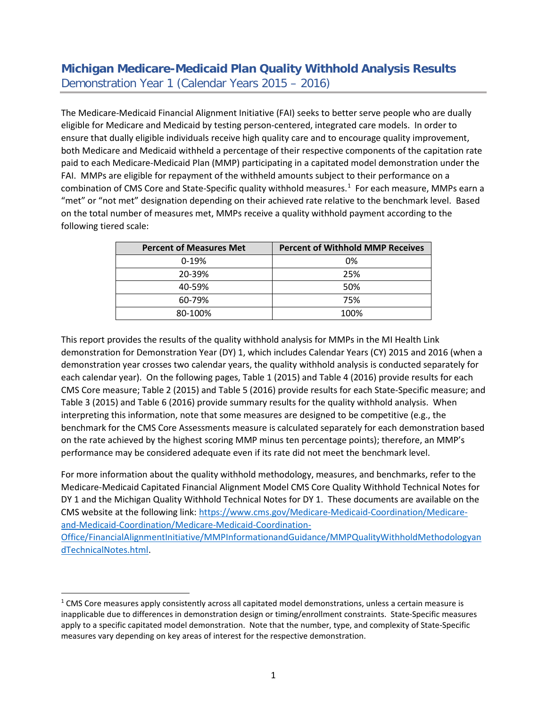## **Michigan Medicare-Medicaid Plan Quality Withhold Analysis Results** Demonstration Year 1 (Calendar Years 2015 – 2016)

The Medicare-Medicaid Financial Alignment Initiative (FAI) seeks to better serve people who are dually eligible for Medicare and Medicaid by testing person-centered, integrated care models. In order to ensure that dually eligible individuals receive high quality care and to encourage quality improvement, both Medicare and Medicaid withheld a percentage of their respective components of the capitation rate paid to each Medicare-Medicaid Plan (MMP) participating in a capitated model demonstration under the FAI. MMPs are eligible for repayment of the withheld amounts subject to their performance on a combination of CMS Core and State-Specific quality withhold measures.<sup>[1](#page-0-0)</sup> For each measure, MMPs earn a "met" or "not met" designation depending on their achieved rate relative to the benchmark level. Based on the total number of measures met, MMPs receive a quality withhold payment according to the following tiered scale:

| <b>Percent of Measures Met</b> | <b>Percent of Withhold MMP Receives</b> |
|--------------------------------|-----------------------------------------|
| $0-19%$                        | 0%                                      |
| 20-39%                         | 25%                                     |
| 40-59%                         | 50%                                     |
| 60-79%                         | 75%                                     |
| 80-100%                        | 100%                                    |

This report provides the results of the quality withhold analysis for MMPs in the MI Health Link demonstration for Demonstration Year (DY) 1, which includes Calendar Years (CY) 2015 and 2016 (when a demonstration year crosses two calendar years, the quality withhold analysis is conducted separately for each calendar year). On the following pages, Table 1 (2015) and Table 4 (2016) provide results for each CMS Core measure; Table 2 (2015) and Table 5 (2016) provide results for each State-Specific measure; and Table 3 (2015) and Table 6 (2016) provide summary results for the quality withhold analysis. When interpreting this information, note that some measures are designed to be competitive (e.g., the benchmark for the CMS Core Assessments measure is calculated separately for each demonstration based on the rate achieved by the highest scoring MMP minus ten percentage points); therefore, an MMP's performance may be considered adequate even if its rate did not meet the benchmark level.

For more information about the quality withhold methodology, measures, and benchmarks, refer to the Medicare-Medicaid Capitated Financial Alignment Model CMS Core Quality Withhold Technical Notes for DY 1 and the Michigan Quality Withhold Technical Notes for DY 1. These documents are available on the CMS website at the following link: [https://www.cms.gov/Medicare-Medicaid-Coordination/Medicare](https://www.cms.gov/Medicare-Medicaid-Coordination/Medicare-and-Medicaid-Coordination/Medicare-Medicaid-Coordination-Office/FinancialAlignmentInitiative/MMPInformationandGuidance/MMPQualityWithholdMethodologyandTechnicalNotes.html)[and-Medicaid-Coordination/Medicare-Medicaid-Coordination-](https://www.cms.gov/Medicare-Medicaid-Coordination/Medicare-and-Medicaid-Coordination/Medicare-Medicaid-Coordination-Office/FinancialAlignmentInitiative/MMPInformationandGuidance/MMPQualityWithholdMethodologyandTechnicalNotes.html)

[Office/FinancialAlignmentInitiative/MMPInformationandGuidance/MMPQualityWithholdMethodologyan](https://www.cms.gov/Medicare-Medicaid-Coordination/Medicare-and-Medicaid-Coordination/Medicare-Medicaid-Coordination-Office/FinancialAlignmentInitiative/MMPInformationandGuidance/MMPQualityWithholdMethodologyandTechnicalNotes.html) [dTechnicalNotes.html.](https://www.cms.gov/Medicare-Medicaid-Coordination/Medicare-and-Medicaid-Coordination/Medicare-Medicaid-Coordination-Office/FinancialAlignmentInitiative/MMPInformationandGuidance/MMPQualityWithholdMethodologyandTechnicalNotes.html)

<span id="page-0-0"></span> $1$  CMS Core measures apply consistently across all capitated model demonstrations, unless a certain measure is inapplicable due to differences in demonstration design or timing/enrollment constraints. State-Specific measures apply to a specific capitated model demonstration. Note that the number, type, and complexity of State-Specific measures vary depending on key areas of interest for the respective demonstration.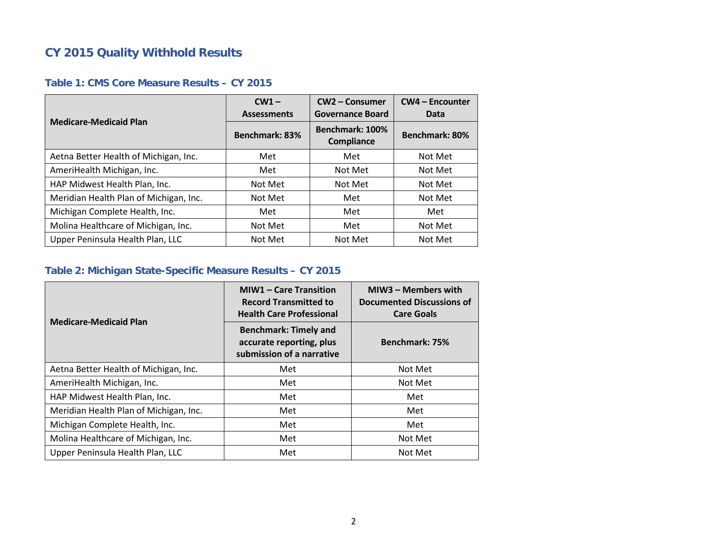# **CY 2015 Quality Withhold Results**

#### **Table 1: CMS Core Measure Results – CY 2015**

| <b>Medicare-Medicaid Plan</b>          | $CW1 -$<br><b>Assessments</b> | CW2 - Consumer<br><b>Governance Board</b> | <b>CW4 - Encounter</b><br>Data |  |
|----------------------------------------|-------------------------------|-------------------------------------------|--------------------------------|--|
|                                        | Benchmark: 83%                | Benchmark: 100%<br>Compliance             | Benchmark: 80%                 |  |
| Aetna Better Health of Michigan, Inc.  | Met                           | Met                                       | Not Met                        |  |
| AmeriHealth Michigan, Inc.             | Met                           | Not Met                                   | Not Met                        |  |
| HAP Midwest Health Plan, Inc.          | Not Met                       | Not Met                                   | Not Met                        |  |
| Meridian Health Plan of Michigan, Inc. | Not Met                       | Met                                       | Not Met                        |  |
| Michigan Complete Health, Inc.         | Met                           | Met                                       | Met                            |  |
| Molina Healthcare of Michigan, Inc.    | Not Met                       | Met                                       | Not Met                        |  |
| Upper Peninsula Health Plan, LLC       | Not Met                       | Not Met                                   | Not Met                        |  |

#### **Table 2: Michigan State-Specific Measure Results – CY 2015**

| <b>Medicare-Medicaid Plan</b>          | <b>MIW1 - Care Transition</b><br><b>Record Transmitted to</b><br><b>Health Care Professional</b> | MIW3 - Members with<br><b>Documented Discussions of</b><br><b>Care Goals</b><br>Benchmark: 75% |  |  |  |
|----------------------------------------|--------------------------------------------------------------------------------------------------|------------------------------------------------------------------------------------------------|--|--|--|
|                                        | <b>Benchmark: Timely and</b><br>accurate reporting, plus<br>submission of a narrative            |                                                                                                |  |  |  |
| Aetna Better Health of Michigan, Inc.  | Met                                                                                              | Not Met                                                                                        |  |  |  |
| AmeriHealth Michigan, Inc.             | Met                                                                                              | Not Met                                                                                        |  |  |  |
| HAP Midwest Health Plan, Inc.          | Met                                                                                              | Met                                                                                            |  |  |  |
| Meridian Health Plan of Michigan, Inc. | Met                                                                                              | Met                                                                                            |  |  |  |
| Michigan Complete Health, Inc.         | Met                                                                                              | Met                                                                                            |  |  |  |
| Molina Healthcare of Michigan, Inc.    | Met                                                                                              | Not Met                                                                                        |  |  |  |
| Upper Peninsula Health Plan, LLC       | Met                                                                                              | Not Met                                                                                        |  |  |  |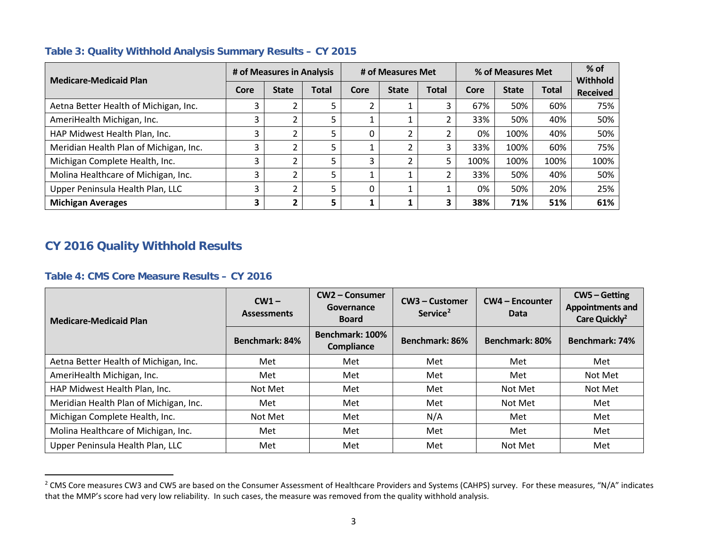| <b>Medicare-Medicaid Plan</b>          | # of Measures in Analysis |                | # of Measures Met |      |              | % of Measures Met |      |              | $%$ of<br>Withhold |                 |
|----------------------------------------|---------------------------|----------------|-------------------|------|--------------|-------------------|------|--------------|--------------------|-----------------|
|                                        | Core                      | <b>State</b>   | <b>Total</b>      | Core | <b>State</b> | <b>Total</b>      | Core | <b>State</b> | <b>Total</b>       | <b>Received</b> |
| Aetna Better Health of Michigan, Inc.  |                           |                |                   |      |              | 3                 | 67%  | 50%          | 60%                | 75%             |
| AmeriHealth Michigan, Inc.             | 3                         |                |                   |      |              |                   | 33%  | 50%          | 40%                | 50%             |
| HAP Midwest Health Plan, Inc.          | 3                         |                |                   | 0    |              |                   | 0%   | 100%         | 40%                | 50%             |
| Meridian Health Plan of Michigan, Inc. | 3                         |                |                   |      |              | 3                 | 33%  | 100%         | 60%                | 75%             |
| Michigan Complete Health, Inc.         | 3                         | $\overline{2}$ |                   | 3    |              | 5                 | 100% | 100%         | 100%               | 100%            |
| Molina Healthcare of Michigan, Inc.    | 3                         | 2              |                   |      |              | 2                 | 33%  | 50%          | 40%                | 50%             |
| Upper Peninsula Health Plan, LLC       | 3                         | $\overline{2}$ | 5                 | 0    |              |                   | 0%   | 50%          | 20%                | 25%             |
| <b>Michigan Averages</b>               | 3                         | 2              | 5                 |      |              | 3                 | 38%  | 71%          | 51%                | 61%             |

### <span id="page-2-0"></span>**Table 3: Quality Withhold Analysis Summary Results – CY 2015**

### **CY 2016 Quality Withhold Results**

 $\overline{a}$ 

#### **Table 4: CMS Core Measure Results – CY 2016**

| <b>Medicare-Medicaid Plan</b>          | $CW1 -$<br><b>Assessments</b> | <b>CW2 - Consumer</b><br>Governance<br><b>Board</b> | CW3 – Customer<br>Service <sup>2</sup> | <b>CW4 - Encounter</b><br>Data | $CW5 - Getting$<br><b>Appointments and</b><br>Care Quickly <sup>2</sup> |  |
|----------------------------------------|-------------------------------|-----------------------------------------------------|----------------------------------------|--------------------------------|-------------------------------------------------------------------------|--|
|                                        | Benchmark: 84%                | Benchmark: 100%<br>Compliance                       | Benchmark: 86%                         | Benchmark: 80%                 | <b>Benchmark: 74%</b>                                                   |  |
| Aetna Better Health of Michigan, Inc.  | Met                           | Met                                                 | Met                                    | Met                            | Met                                                                     |  |
| AmeriHealth Michigan, Inc.             | Met                           | Met                                                 | Met                                    | Met                            | Not Met                                                                 |  |
| HAP Midwest Health Plan, Inc.          | Not Met                       | Met                                                 | Met                                    | Not Met                        | Not Met                                                                 |  |
| Meridian Health Plan of Michigan, Inc. | Met                           | Met                                                 | Met                                    | Not Met                        | Met                                                                     |  |
| Michigan Complete Health, Inc.         | Not Met                       | Met                                                 | N/A                                    | Met                            | Met                                                                     |  |
| Molina Healthcare of Michigan, Inc.    | Met                           | Met                                                 | Met                                    | Met                            | Met                                                                     |  |
| Upper Peninsula Health Plan, LLC       | Met                           | Met                                                 | Met                                    | Not Met                        | Met                                                                     |  |

<sup>&</sup>lt;sup>2</sup> CMS Core measures CW3 and CW5 are based on the Consumer Assessment of Healthcare Providers and Systems (CAHPS) survey. For these measures, "N/A" indicates that the MMP's score had very low reliability. In such cases, the measure was removed from the quality withhold analysis.